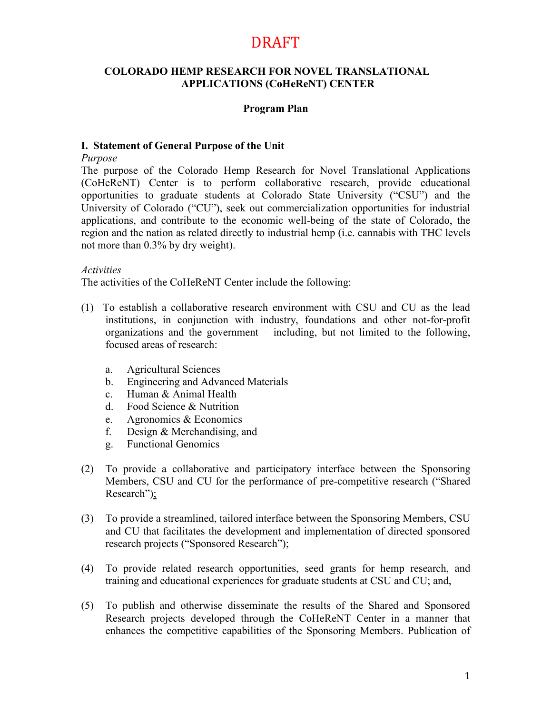## DRAFT

### **COLORADO HEMP RESEARCH FOR NOVEL TRANSLATIONAL APPLICATIONS (CoHeReNT) CENTER**

### **Program Plan**

### **I. Statement of General Purpose of the Unit**

*Purpose* 

The purpose of the Colorado Hemp Research for Novel Translational Applications (CoHeReNT) Center is to perform collaborative research, provide educational opportunities to graduate students at Colorado State University ("CSU") and the University of Colorado ("CU"), seek out commercialization opportunities for industrial applications, and contribute to the economic well-being of the state of Colorado, the region and the nation as related directly to industrial hemp (i.e. cannabis with THC levels not more than 0.3% by dry weight).

#### *Activities*

The activities of the CoHeReNT Center include the following:

- (1) To establish a collaborative research environment with CSU and CU as the lead institutions, in conjunction with industry, foundations and other not-for-profit organizations and the government – including, but not limited to the following, focused areas of research:
	- a. Agricultural Sciences
	- b. Engineering and Advanced Materials
	- c. Human & Animal Health
	- d. Food Science & Nutrition
	- e. Agronomics & Economics
	- f. Design & Merchandising, and
	- g. Functional Genomics
- (2) To provide a collaborative and participatory interface between the Sponsoring Members, CSU and CU for the performance of pre-competitive research ("Shared Research");
- (3) To provide a streamlined, tailored interface between the Sponsoring Members, CSU and CU that facilitates the development and implementation of directed sponsored research projects ("Sponsored Research");
- (4) To provide related research opportunities, seed grants for hemp research, and training and educational experiences for graduate students at CSU and CU; and,
- (5) To publish and otherwise disseminate the results of the Shared and Sponsored Research projects developed through the CoHeReNT Center in a manner that enhances the competitive capabilities of the Sponsoring Members. Publication of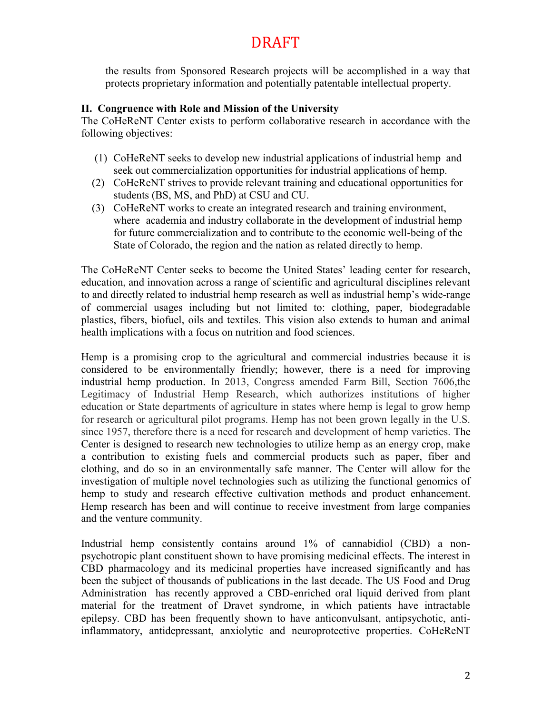# DRAFT

the results from Sponsored Research projects will be accomplished in a way that protects proprietary information and potentially patentable intellectual property.

## **II. Congruence with Role and Mission of the University**

The CoHeReNT Center exists to perform collaborative research in accordance with the following objectives:

- (1) CoHeReNT seeks to develop new industrial applications of industrial hemp and seek out commercialization opportunities for industrial applications of hemp.
- (2) CoHeReNT strives to provide relevant training and educational opportunities for students (BS, MS, and PhD) at CSU and CU.
- (3) CoHeReNT works to create an integrated research and training environment, where academia and industry collaborate in the development of industrial hemp for future commercialization and to contribute to the economic well-being of the State of Colorado, the region and the nation as related directly to hemp.

The CoHeReNT Center seeks to become the United States' leading center for research, education, and innovation across a range of scientific and agricultural disciplines relevant to and directly related to industrial hemp research as well as industrial hemp's wide-range of commercial usages including but not limited to: clothing, paper, biodegradable plastics, fibers, biofuel, oils and textiles. This vision also extends to human and animal health implications with a focus on nutrition and food sciences.

Hemp is a promising crop to the agricultural and commercial industries because it is considered to be environmentally friendly; however, there is a need for improving industrial hemp production. In 2013, Congress amended Farm Bill, Section 7606,the Legitimacy of Industrial Hemp Research, which authorizes institutions of higher education or State departments of agriculture in states where hemp is legal to grow hemp for research or agricultural pilot programs. Hemp has not been grown legally in the U.S. since 1957, therefore there is a need for research and development of hemp varieties. The Center is designed to research new technologies to utilize hemp as an energy crop, make a contribution to existing fuels and commercial products such as paper, fiber and clothing, and do so in an environmentally safe manner. The Center will allow for the investigation of multiple novel technologies such as utilizing the functional genomics of hemp to study and research effective cultivation methods and product enhancement. Hemp research has been and will continue to receive investment from large companies and the venture community.

Industrial hemp consistently contains around 1% of cannabidiol (CBD) a nonpsychotropic plant constituent shown to have promising medicinal effects. The interest in CBD pharmacology and its medicinal properties have increased significantly and has been the subject of thousands of publications in the last decade. The US Food and Drug Administration has recently approved a CBD-enriched oral liquid derived from plant material for the treatment of Dravet syndrome, in which patients have intractable epilepsy. CBD has been frequently shown to have anticonvulsant, antipsychotic, antiinflammatory, antidepressant, anxiolytic and neuroprotective properties. CoHeReNT